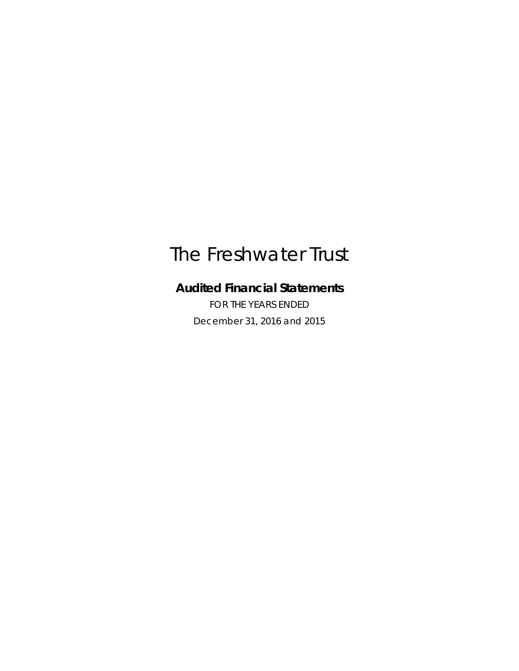# The Freshwater Trust

# **Audited Financial Statements**

FOR THE YEARS ENDED December 31, 2016 and 2015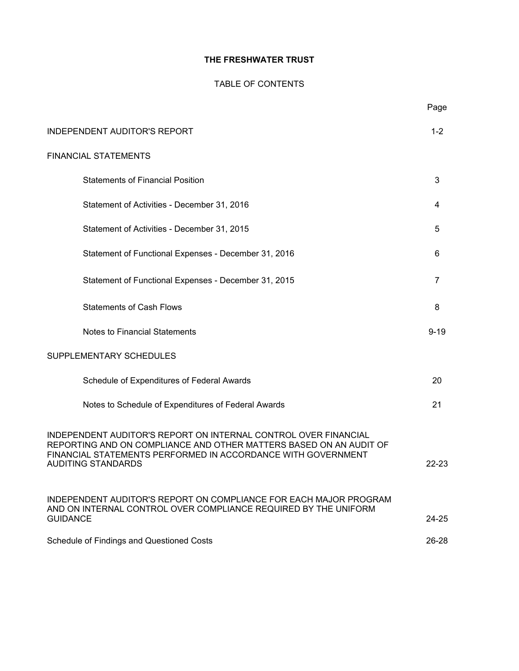## **THE FRESHWATER TRUST**

## TABLE OF CONTENTS

|                                                                                                                                                                                                                                    | Page      |
|------------------------------------------------------------------------------------------------------------------------------------------------------------------------------------------------------------------------------------|-----------|
| <b>INDEPENDENT AUDITOR'S REPORT</b>                                                                                                                                                                                                | $1 - 2$   |
| <b>FINANCIAL STATEMENTS</b>                                                                                                                                                                                                        |           |
| <b>Statements of Financial Position</b>                                                                                                                                                                                            | 3         |
| Statement of Activities - December 31, 2016                                                                                                                                                                                        | 4         |
| Statement of Activities - December 31, 2015                                                                                                                                                                                        | 5         |
| Statement of Functional Expenses - December 31, 2016                                                                                                                                                                               | 6         |
| Statement of Functional Expenses - December 31, 2015                                                                                                                                                                               | 7         |
| <b>Statements of Cash Flows</b>                                                                                                                                                                                                    | 8         |
| <b>Notes to Financial Statements</b>                                                                                                                                                                                               | $9 - 19$  |
| SUPPLEMENTARY SCHEDULES                                                                                                                                                                                                            |           |
| Schedule of Expenditures of Federal Awards                                                                                                                                                                                         | 20        |
| Notes to Schedule of Expenditures of Federal Awards                                                                                                                                                                                | 21        |
| INDEPENDENT AUDITOR'S REPORT ON INTERNAL CONTROL OVER FINANCIAL<br>REPORTING AND ON COMPLIANCE AND OTHER MATTERS BASED ON AN AUDIT OF<br>FINANCIAL STATEMENTS PERFORMED IN ACCORDANCE WITH GOVERNMENT<br><b>AUDITING STANDARDS</b> | $22 - 23$ |
| INDEPENDENT AUDITOR'S REPORT ON COMPLIANCE FOR EACH MAJOR PROGRAM<br>AND ON INTERNAL CONTROL OVER COMPLIANCE REQUIRED BY THE UNIFORM<br><b>GUIDANCE</b>                                                                            | 24-25     |
| Schedule of Findings and Questioned Costs                                                                                                                                                                                          | 26-28     |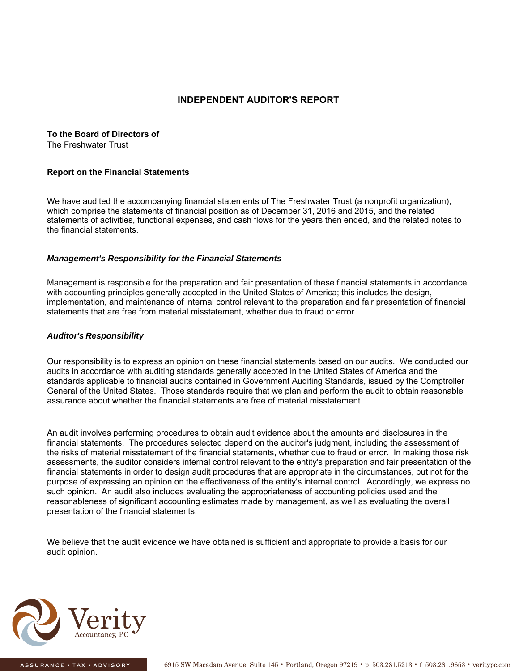## **INDEPENDENT AUDITOR'S REPORT**

#### **To the Board of Directors of**

The Freshwater Trust

#### **Report on the Financial Statements**

We have audited the accompanying financial statements of The Freshwater Trust (a nonprofit organization), which comprise the statements of financial position as of December 31, 2016 and 2015, and the related statements of activities, functional expenses, and cash flows for the years then ended, and the related notes to the financial statements.

#### *Management's Responsibility for the Financial Statements*

Management is responsible for the preparation and fair presentation of these financial statements in accordance with accounting principles generally accepted in the United States of America; this includes the design, implementation, and maintenance of internal control relevant to the preparation and fair presentation of financial statements that are free from material misstatement, whether due to fraud or error.

#### *Auditor's Responsibility*

Our responsibility is to express an opinion on these financial statements based on our audits. We conducted our audits in accordance with auditing standards generally accepted in the United States of America and the standards applicable to financial audits contained in Government Auditing Standards, issued by the Comptroller General of the United States. Those standards require that we plan and perform the audit to obtain reasonable assurance about whether the financial statements are free of material misstatement.

An audit involves performing procedures to obtain audit evidence about the amounts and disclosures in the financial statements. The procedures selected depend on the auditor's judgment, including the assessment of the risks of material misstatement of the financial statements, whether due to fraud or error. In making those risk assessments, the auditor considers internal control relevant to the entity's preparation and fair presentation of the financial statements in order to design audit procedures that are appropriate in the circumstances, but not for the purpose of expressing an opinion on the effectiveness of the entity's internal control. Accordingly, we express no such opinion. An audit also includes evaluating the appropriateness of accounting policies used and the reasonableness of significant accounting estimates made by management, as well as evaluating the overall presentation of the financial statements.

We believe that the audit evidence we have obtained is sufficient and appropriate to provide a basis for our audit opinion.

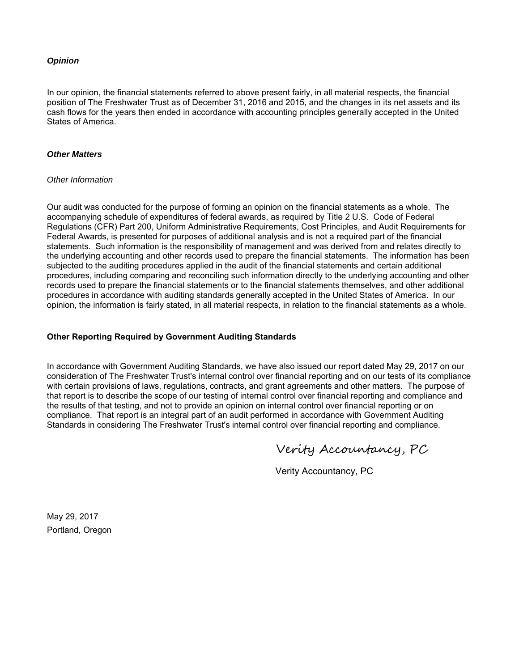#### *Opinion*

In our opinion, the financial statements referred to above present fairly, in all material respects, the financial position of The Freshwater Trust as of December 31, 2016 and 2015, and the changes in its net assets and its cash flows for the years then ended in accordance with accounting principles generally accepted in the United States of America.

#### *Other Matters*

#### *Other Information*

Our audit was conducted for the purpose of forming an opinion on the financial statements as a whole. The accompanying schedule of expenditures of federal awards, as required by Title 2 U.S. Code of Federal Regulations (CFR) Part 200, Uniform Administrative Requirements, Cost Principles, and Audit Requirements for Federal Awards, is presented for purposes of additional analysis and is not a required part of the financial statements. Such information is the responsibility of management and was derived from and relates directly to the underlying accounting and other records used to prepare the financial statements. The information has been subjected to the auditing procedures applied in the audit of the financial statements and certain additional procedures, including comparing and reconciling such information directly to the underlying accounting and other records used to prepare the financial statements or to the financial statements themselves, and other additional procedures in accordance with auditing standards generally accepted in the United States of America. In our opinion, the information is fairly stated, in all material respects, in relation to the financial statements as a whole.

#### **Other Reporting Required by Government Auditing Standards**

In accordance with Government Auditing Standards, we have also issued our report dated May 29, 2017 on our consideration of The Freshwater Trust's internal control over financial reporting and on our tests of its compliance with certain provisions of laws, regulations, contracts, and grant agreements and other matters. The purpose of that report is to describe the scope of our testing of internal control over financial reporting and compliance and the results of that testing, and not to provide an opinion on internal control over financial reporting or on compliance. That report is an integral part of an audit performed in accordance with Government Auditing Standards in considering The Freshwater Trust's internal control over financial reporting and compliance.

Verity Accountancy, PC

Verity Accountancy, PC

May 29, 2017 Portland, Oregon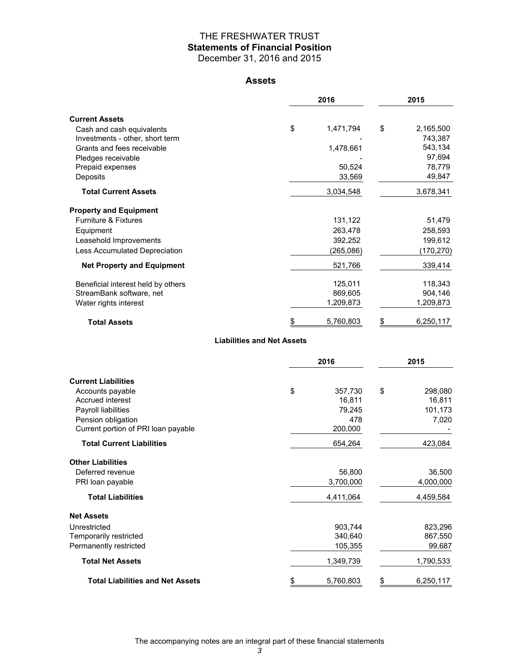# THE FRESHWATER TRUST **Statements of Financial Position** December 31, 2016 and 2015

#### **Assets**

|                                    | 2016            | 2015            |  |  |
|------------------------------------|-----------------|-----------------|--|--|
| <b>Current Assets</b>              |                 |                 |  |  |
| Cash and cash equivalents          | \$<br>1,471,794 | \$<br>2,165,500 |  |  |
| Investments - other, short term    |                 | 743,387         |  |  |
| Grants and fees receivable         | 1,478,661       | 543,134         |  |  |
| Pledges receivable                 |                 | 97,694          |  |  |
| Prepaid expenses                   | 50,524          | 78,779          |  |  |
| <b>Deposits</b>                    | 33,569          | 49,847          |  |  |
| <b>Total Current Assets</b>        | 3,034,548       | 3,678,341       |  |  |
| <b>Property and Equipment</b>      |                 |                 |  |  |
| <b>Furniture &amp; Fixtures</b>    | 131,122         | 51,479          |  |  |
| Equipment                          | 263,478         | 258,593         |  |  |
| Leasehold Improvements             | 392,252         | 199,612         |  |  |
| Less Accumulated Depreciation      | (265,086)       | (170, 270)      |  |  |
| <b>Net Property and Equipment</b>  | 521,766         | 339,414         |  |  |
| Beneficial interest held by others | 125,011         | 118,343         |  |  |
| StreamBank software, net           | 869,605         | 904,146         |  |  |
| Water rights interest              | 1,209,873       | 1,209,873       |  |  |
| <b>Total Assets</b>                | 5,760,803       | \$<br>6,250,117 |  |  |

## **Liabilities and Net Assets**

|                                         | 2016            |    | 2015      |
|-----------------------------------------|-----------------|----|-----------|
| <b>Current Liabilities</b>              |                 |    |           |
| Accounts payable                        | \$<br>357,730   | \$ | 298,080   |
| <b>Accrued interest</b>                 | 16,811          |    | 16,811    |
| Payroll liabilities                     | 79,245          |    | 101,173   |
| Pension obligation                      | 478             |    | 7,020     |
| Current portion of PRI Ioan payable     | 200,000         |    |           |
| <b>Total Current Liabilities</b>        | 654,264         |    | 423,084   |
| <b>Other Liabilities</b>                |                 |    |           |
| Deferred revenue                        | 56,800          |    | 36,500    |
| PRI loan payable                        | 3,700,000       |    | 4,000,000 |
| <b>Total Liabilities</b>                | 4,411,064       |    | 4,459,584 |
| <b>Net Assets</b>                       |                 |    |           |
| Unrestricted                            | 903,744         |    | 823,296   |
| Temporarily restricted                  | 340,640         |    | 867,550   |
| Permanently restricted                  | 105,355         |    | 99,687    |
| <b>Total Net Assets</b>                 | 1,349,739       |    | 1,790,533 |
| <b>Total Liabilities and Net Assets</b> | \$<br>5,760,803 | \$ | 6,250,117 |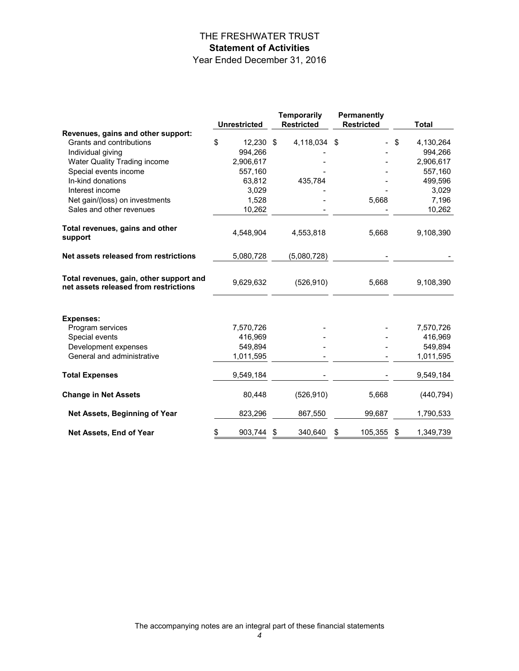# THE FRESHWATER TRUST **Statement of Activities** Year Ended December 31, 2016

|                                                                                  | <b>Unrestricted</b> | <b>Temporarily</b><br><b>Restricted</b> | Permanently<br><b>Restricted</b> | <b>Total</b>    |
|----------------------------------------------------------------------------------|---------------------|-----------------------------------------|----------------------------------|-----------------|
| Revenues, gains and other support:                                               |                     |                                         |                                  |                 |
| Grants and contributions                                                         | \$<br>$12,230$ \$   | 4,118,034 \$                            |                                  | \$<br>4,130,264 |
| Individual giving                                                                | 994,266             |                                         |                                  | 994,266         |
| Water Quality Trading income                                                     | 2,906,617           |                                         |                                  | 2,906,617       |
| Special events income                                                            | 557,160             |                                         |                                  | 557,160         |
| In-kind donations                                                                | 63,812              | 435,784                                 |                                  | 499,596         |
| Interest income                                                                  | 3,029               |                                         |                                  | 3,029           |
| Net gain/(loss) on investments                                                   | 1,528               |                                         | 5,668                            | 7,196           |
| Sales and other revenues                                                         | 10,262              |                                         |                                  | 10,262          |
| Total revenues, gains and other<br>support                                       | 4,548,904           | 4,553,818                               | 5,668                            | 9,108,390       |
| Net assets released from restrictions                                            | 5,080,728           | (5,080,728)                             |                                  |                 |
| Total revenues, gain, other support and<br>net assets released from restrictions | 9,629,632           | (526, 910)                              | 5,668                            | 9,108,390       |
| <b>Expenses:</b>                                                                 |                     |                                         |                                  |                 |
| Program services                                                                 | 7,570,726           |                                         |                                  | 7,570,726       |
| Special events                                                                   | 416,969             |                                         |                                  | 416,969         |
| Development expenses                                                             | 549,894             |                                         |                                  | 549,894         |
| General and administrative                                                       | 1,011,595           |                                         |                                  | 1,011,595       |
| <b>Total Expenses</b>                                                            | 9,549,184           |                                         |                                  | 9,549,184       |
| <b>Change in Net Assets</b>                                                      | 80,448              | (526, 910)                              | 5,668                            | (440, 794)      |
| Net Assets, Beginning of Year                                                    | 823,296             | 867,550                                 | 99,687                           | 1,790,533       |
| Net Assets, End of Year                                                          | \$<br>903,744       | \$<br>340,640                           | \$<br>105,355                    | \$<br>1,349,739 |

The accompanying notes are an integral part of these financial statements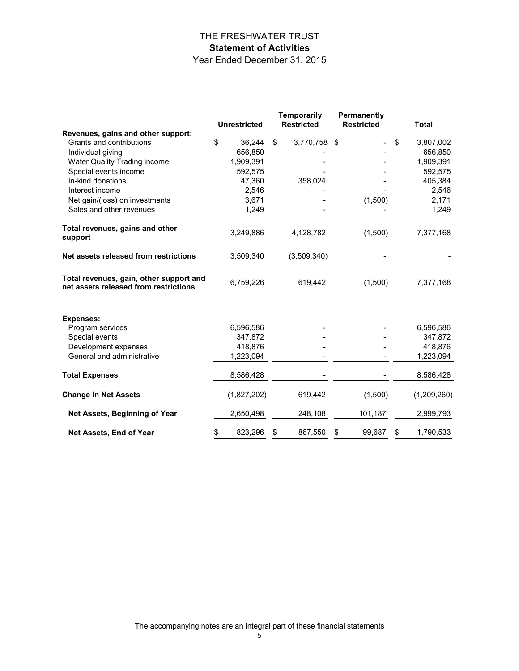# THE FRESHWATER TRUST **Statement of Activities** Year Ended December 31, 2015

|                                                                                  | <b>Unrestricted</b> | <b>Temporarily</b><br><b>Restricted</b> | Permanently<br><b>Restricted</b> | <b>Total</b>    |
|----------------------------------------------------------------------------------|---------------------|-----------------------------------------|----------------------------------|-----------------|
| Revenues, gains and other support:                                               |                     |                                         |                                  |                 |
| Grants and contributions                                                         | \$<br>36,244        | \$<br>3,770,758 \$                      |                                  | \$<br>3,807,002 |
| Individual giving                                                                | 656,850             |                                         |                                  | 656,850         |
| Water Quality Trading income                                                     | 1,909,391           |                                         |                                  | 1,909,391       |
| Special events income                                                            | 592,575             |                                         |                                  | 592,575         |
| In-kind donations                                                                | 47,360              | 358,024                                 |                                  | 405,384         |
| Interest income                                                                  | 2,546               |                                         |                                  | 2,546           |
| Net gain/(loss) on investments                                                   | 3,671               |                                         | (1,500)                          | 2,171           |
| Sales and other revenues                                                         | 1,249               |                                         |                                  | 1,249           |
| Total revenues, gains and other<br>support                                       | 3,249,886           | 4,128,782                               | (1,500)                          | 7,377,168       |
| Net assets released from restrictions                                            | 3,509,340           | (3,509,340)                             |                                  |                 |
| Total revenues, gain, other support and<br>net assets released from restrictions | 6,759,226           | 619,442                                 | (1,500)                          | 7,377,168       |
| <b>Expenses:</b>                                                                 |                     |                                         |                                  |                 |
| Program services                                                                 | 6,596,586           |                                         |                                  | 6,596,586       |
| Special events                                                                   | 347,872             |                                         |                                  | 347,872         |
| Development expenses                                                             | 418,876             |                                         |                                  | 418,876         |
| General and administrative                                                       | 1,223,094           |                                         |                                  | 1,223,094       |
| <b>Total Expenses</b>                                                            | 8,586,428           |                                         |                                  | 8,586,428       |
| <b>Change in Net Assets</b>                                                      | (1,827,202)         | 619,442                                 | (1,500)                          | (1,209,260)     |
| Net Assets, Beginning of Year                                                    | 2,650,498           | 248,108                                 | 101,187                          | 2,999,793       |
| Net Assets, End of Year                                                          | \$<br>823,296       | \$<br>867,550                           | \$<br>99,687                     | \$<br>1,790,533 |

The accompanying notes are an integral part of these financial statements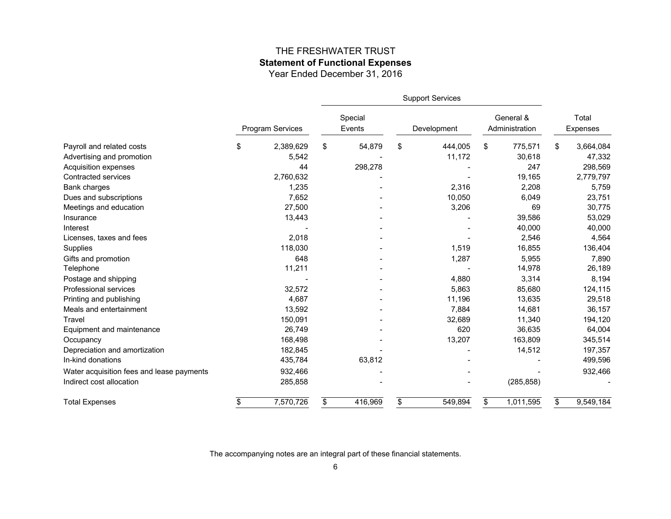# THE FRESHWATER TRUST **Statement of Functional Expenses**

Year Ended December 31, 2016

|                                           |                  | <b>Support Services</b> |                   |    |             |    |                             |                   |
|-------------------------------------------|------------------|-------------------------|-------------------|----|-------------|----|-----------------------------|-------------------|
|                                           | Program Services |                         | Special<br>Events |    | Development |    | General &<br>Administration | Total<br>Expenses |
| Payroll and related costs                 | \$<br>2,389,629  | \$                      | 54,879            | \$ | 444,005     | \$ | 775,571                     | \$<br>3,664,084   |
| Advertising and promotion                 | 5,542            |                         |                   |    | 11,172      |    | 30,618                      | 47,332            |
| Acquisition expenses                      | 44               |                         | 298,278           |    |             |    | 247                         | 298,569           |
| <b>Contracted services</b>                | 2,760,632        |                         |                   |    |             |    | 19,165                      | 2,779,797         |
| <b>Bank charges</b>                       | 1,235            |                         |                   |    | 2,316       |    | 2,208                       | 5,759             |
| Dues and subscriptions                    | 7,652            |                         |                   |    | 10,050      |    | 6,049                       | 23,751            |
| Meetings and education                    | 27,500           |                         |                   |    | 3,206       |    | 69                          | 30,775            |
| Insurance                                 | 13,443           |                         |                   |    |             |    | 39,586                      | 53,029            |
| Interest                                  |                  |                         |                   |    |             |    | 40,000                      | 40,000            |
| Licenses, taxes and fees                  | 2,018            |                         |                   |    |             |    | 2,546                       | 4,564             |
| Supplies                                  | 118,030          |                         |                   |    | 1,519       |    | 16,855                      | 136,404           |
| Gifts and promotion                       | 648              |                         |                   |    | 1,287       |    | 5,955                       | 7,890             |
| Telephone                                 | 11,211           |                         |                   |    |             |    | 14,978                      | 26,189            |
| Postage and shipping                      |                  |                         |                   |    | 4,880       |    | 3,314                       | 8,194             |
| <b>Professional services</b>              | 32,572           |                         |                   |    | 5,863       |    | 85,680                      | 124,115           |
| Printing and publishing                   | 4,687            |                         |                   |    | 11,196      |    | 13,635                      | 29,518            |
| Meals and entertainment                   | 13,592           |                         |                   |    | 7,884       |    | 14,681                      | 36,157            |
| Travel                                    | 150,091          |                         |                   |    | 32,689      |    | 11,340                      | 194,120           |
| Equipment and maintenance                 | 26,749           |                         |                   |    | 620         |    | 36,635                      | 64,004            |
| Occupancy                                 | 168,498          |                         |                   |    | 13,207      |    | 163,809                     | 345,514           |
| Depreciation and amortization             | 182,845          |                         |                   |    |             |    | 14,512                      | 197,357           |
| In-kind donations                         | 435,784          |                         | 63,812            |    |             |    |                             | 499,596           |
| Water acquisition fees and lease payments | 932,466          |                         |                   |    |             |    |                             | 932,466           |
| Indirect cost allocation                  | 285,858          |                         |                   |    |             |    | (285, 858)                  |                   |
| <b>Total Expenses</b>                     | \$<br>7,570,726  | \$                      | 416,969           | \$ | 549,894     | \$ | 1,011,595                   | \$<br>9,549,184   |

The accompanying notes are an integral part of these financial statements.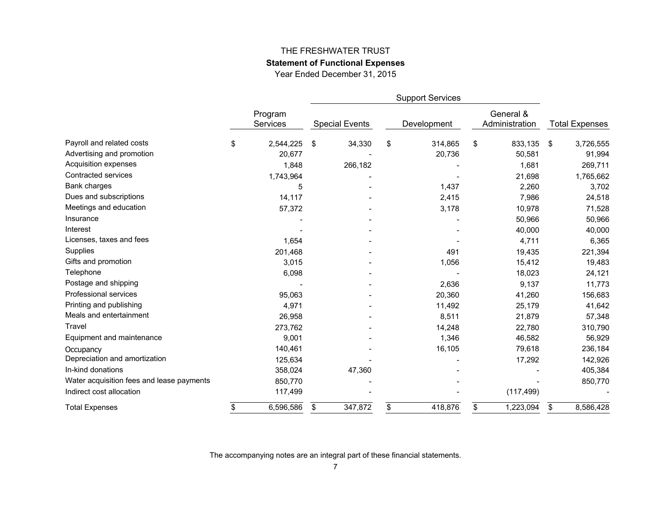#### THE FRESHWATER TRUST

## **Statement of Functional Expenses**

Year Ended December 31, 2015

|                                           |                     | <b>Support Services</b> |                       |    |             |    |                             |    |                       |
|-------------------------------------------|---------------------|-------------------------|-----------------------|----|-------------|----|-----------------------------|----|-----------------------|
|                                           | Program<br>Services |                         | <b>Special Events</b> |    | Development |    | General &<br>Administration |    | <b>Total Expenses</b> |
| Payroll and related costs                 | \$<br>2,544,225     | \$                      | 34,330                | \$ | 314,865     | \$ | 833,135                     | \$ | 3,726,555             |
| Advertising and promotion                 | 20,677              |                         |                       |    | 20,736      |    | 50,581                      |    | 91,994                |
| Acquisition expenses                      | 1,848               |                         | 266,182               |    |             |    | 1,681                       |    | 269,711               |
| Contracted services                       | 1,743,964           |                         |                       |    |             |    | 21,698                      |    | 1,765,662             |
| <b>Bank charges</b>                       | 5                   |                         |                       |    | 1,437       |    | 2,260                       |    | 3,702                 |
| Dues and subscriptions                    | 14,117              |                         |                       |    | 2,415       |    | 7,986                       |    | 24,518                |
| Meetings and education                    | 57,372              |                         |                       |    | 3,178       |    | 10,978                      |    | 71,528                |
| Insurance                                 |                     |                         |                       |    |             |    | 50,966                      |    | 50,966                |
| Interest                                  |                     |                         |                       |    |             |    | 40,000                      |    | 40,000                |
| Licenses, taxes and fees                  | 1,654               |                         |                       |    |             |    | 4,711                       |    | 6,365                 |
| Supplies                                  | 201,468             |                         |                       |    | 491         |    | 19,435                      |    | 221,394               |
| Gifts and promotion                       | 3,015               |                         |                       |    | 1,056       |    | 15,412                      |    | 19,483                |
| Telephone                                 | 6,098               |                         |                       |    |             |    | 18,023                      |    | 24,121                |
| Postage and shipping                      |                     |                         |                       |    | 2,636       |    | 9,137                       |    | 11,773                |
| Professional services                     | 95,063              |                         |                       |    | 20,360      |    | 41,260                      |    | 156,683               |
| Printing and publishing                   | 4,971               |                         |                       |    | 11,492      |    | 25,179                      |    | 41,642                |
| Meals and entertainment                   | 26,958              |                         |                       |    | 8,511       |    | 21,879                      |    | 57,348                |
| Travel                                    | 273,762             |                         |                       |    | 14,248      |    | 22,780                      |    | 310,790               |
| Equipment and maintenance                 | 9,001               |                         |                       |    | 1,346       |    | 46,582                      |    | 56,929                |
| Occupancy                                 | 140,461             |                         |                       |    | 16,105      |    | 79,618                      |    | 236,184               |
| Depreciation and amortization             | 125,634             |                         |                       |    |             |    | 17,292                      |    | 142,926               |
| In-kind donations                         | 358,024             |                         | 47,360                |    |             |    |                             |    | 405,384               |
| Water acquisition fees and lease payments | 850,770             |                         |                       |    |             |    |                             |    | 850,770               |
| Indirect cost allocation                  | 117,499             |                         |                       |    |             |    | (117, 499)                  |    |                       |
| <b>Total Expenses</b>                     | \$<br>6,596,586     | \$                      | 347,872               | \$ | 418,876     | \$ | 1,223,094                   | \$ | 8,586,428             |

The accompanying notes are an integral part of these financial statements.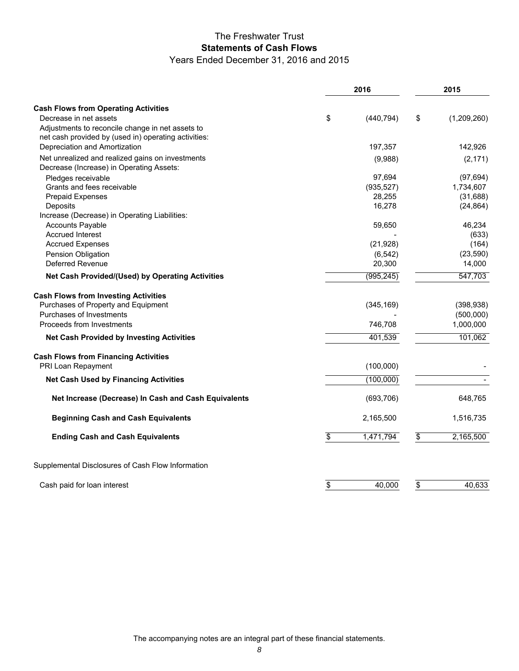# The Freshwater Trust **Statements of Cash Flows** Years Ended December 31, 2016 and 2015

|                                                      | 2016 |            |                 | 2015        |
|------------------------------------------------------|------|------------|-----------------|-------------|
| <b>Cash Flows from Operating Activities</b>          |      |            |                 |             |
| Decrease in net assets                               | \$   | (440, 794) | \$              | (1,209,260) |
| Adjustments to reconcile change in net assets to     |      |            |                 |             |
| net cash provided by (used in) operating activities: |      |            |                 |             |
| Depreciation and Amortization                        |      | 197,357    |                 | 142,926     |
| Net unrealized and realized gains on investments     |      | (9,988)    |                 | (2, 171)    |
| Decrease (Increase) in Operating Assets:             |      |            |                 |             |
| Pledges receivable                                   |      | 97,694     |                 | (97, 694)   |
| Grants and fees receivable                           |      | (935, 527) |                 | 1,734,607   |
| <b>Prepaid Expenses</b>                              |      | 28,255     |                 | (31, 688)   |
| Deposits                                             |      | 16,278     |                 | (24, 864)   |
| Increase (Decrease) in Operating Liabilities:        |      |            |                 |             |
| <b>Accounts Payable</b>                              |      | 59,650     |                 | 46,234      |
| <b>Accrued Interest</b>                              |      |            |                 | (633)       |
| <b>Accrued Expenses</b>                              |      | (21, 928)  |                 | (164)       |
| <b>Pension Obligation</b>                            |      | (6, 542)   |                 | (23, 590)   |
| <b>Deferred Revenue</b>                              |      | 20,300     |                 | 14,000      |
| Net Cash Provided/(Used) by Operating Activities     |      | (995, 245) |                 | 547,703     |
| <b>Cash Flows from Investing Activities</b>          |      |            |                 |             |
| Purchases of Property and Equipment                  |      | (345, 169) |                 | (398, 938)  |
| Purchases of Investments                             |      |            |                 | (500,000)   |
| Proceeds from Investments                            |      | 746,708    |                 | 1,000,000   |
| <b>Net Cash Provided by Investing Activities</b>     |      | 401,539    |                 | 101,062     |
| <b>Cash Flows from Financing Activities</b>          |      |            |                 |             |
| PRI Loan Repayment                                   |      | (100,000)  |                 |             |
| <b>Net Cash Used by Financing Activities</b>         |      | (100,000)  |                 |             |
| Net Increase (Decrease) In Cash and Cash Equivalents |      | (693, 706) |                 | 648,765     |
| <b>Beginning Cash and Cash Equivalents</b>           |      | 2,165,500  |                 | 1,516,735   |
| <b>Ending Cash and Cash Equivalents</b>              | \$   | 1,471,794  | $\overline{\$}$ | 2,165,500   |
| Supplemental Disclosures of Cash Flow Information    |      |            |                 |             |
| Cash paid for loan interest                          | \$   | 40,000     | \$              | 40,633      |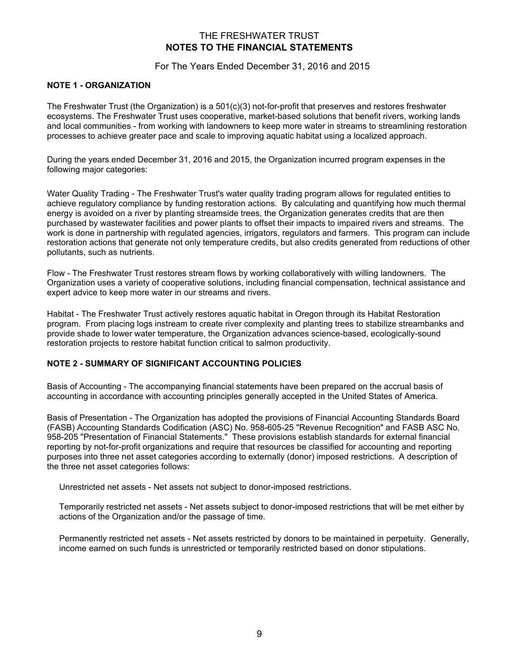For The Years Ended December 31, 2016 and 2015

## **NOTE 1 - ORGANIZATION**

The Freshwater Trust (the Organization) is a 501(c)(3) not-for-profit that preserves and restores freshwater ecosystems. The Freshwater Trust uses cooperative, market-based solutions that benefit rivers, working lands and local communities - from working with landowners to keep more water in streams to streamlining restoration processes to achieve greater pace and scale to improving aquatic habitat using a localized approach.

During the years ended December 31, 2016 and 2015, the Organization incurred program expenses in the following major categories:

Water Quality Trading - The Freshwater Trust's water quality trading program allows for regulated entities to achieve regulatory compliance by funding restoration actions. By calculating and quantifying how much thermal energy is avoided on a river by planting streamside trees, the Organization generates credits that are then purchased by wastewater facilities and power plants to offset their impacts to impaired rivers and streams. The work is done in partnership with regulated agencies, irrigators, regulators and farmers. This program can include restoration actions that generate not only temperature credits, but also credits generated from reductions of other pollutants, such as nutrients.

Flow - The Freshwater Trust restores stream flows by working collaboratively with willing landowners. The Organization uses a variety of cooperative solutions, including financial compensation, technical assistance and expert advice to keep more water in our streams and rivers.

Habitat - The Freshwater Trust actively restores aquatic habitat in Oregon through its Habitat Restoration program. From placing logs instream to create river complexity and planting trees to stabilize streambanks and provide shade to lower water temperature, the Organization advances science-based, ecologically-sound restoration projects to restore habitat function critical to salmon productivity.

## **NOTE 2 - SUMMARY OF SIGNIFICANT ACCOUNTING POLICIES**

Basis of Accounting - The accompanying financial statements have been prepared on the accrual basis of accounting in accordance with accounting principles generally accepted in the United States of America.

Basis of Presentation - The Organization has adopted the provisions of Financial Accounting Standards Board (FASB) Accounting Standards Codification (ASC) No. 958-605-25 "Revenue Recognition" and FASB ASC No. 958-205 "Presentation of Financial Statements." These provisions establish standards for external financial reporting by not-for-profit organizations and require that resources be classified for accounting and reporting purposes into three net asset categories according to externally (donor) imposed restrictions. A description of the three net asset categories follows:

Unrestricted net assets - Net assets not subject to donor-imposed restrictions.

Temporarily restricted net assets - Net assets subject to donor-imposed restrictions that will be met either by actions of the Organization and/or the passage of time.

Permanently restricted net assets - Net assets restricted by donors to be maintained in perpetuity. Generally, income earned on such funds is unrestricted or temporarily restricted based on donor stipulations.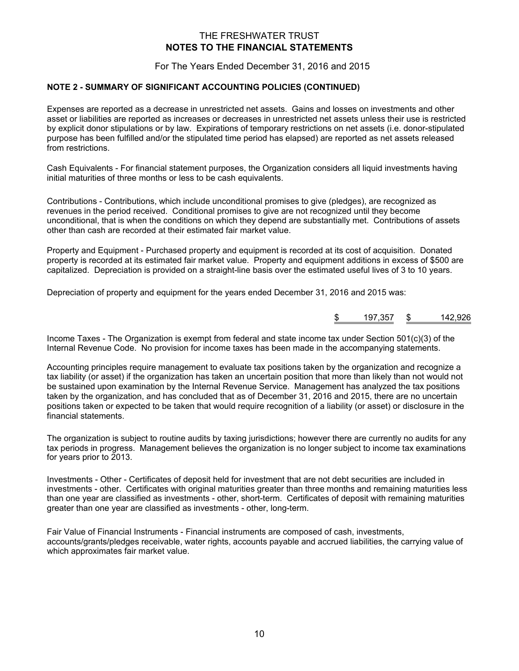For The Years Ended December 31, 2016 and 2015

## **NOTE 2 - SUMMARY OF SIGNIFICANT ACCOUNTING POLICIES (CONTINUED)**

Expenses are reported as a decrease in unrestricted net assets. Gains and losses on investments and other asset or liabilities are reported as increases or decreases in unrestricted net assets unless their use is restricted by explicit donor stipulations or by law. Expirations of temporary restrictions on net assets (i.e. donor-stipulated purpose has been fulfilled and/or the stipulated time period has elapsed) are reported as net assets released from restrictions.

Cash Equivalents - For financial statement purposes, the Organization considers all liquid investments having initial maturities of three months or less to be cash equivalents.

Contributions - Contributions, which include unconditional promises to give (pledges), are recognized as revenues in the period received. Conditional promises to give are not recognized until they become unconditional, that is when the conditions on which they depend are substantially met. Contributions of assets other than cash are recorded at their estimated fair market value.

Property and Equipment - Purchased property and equipment is recorded at its cost of acquisition. Donated property is recorded at its estimated fair market value. Property and equipment additions in excess of \$500 are capitalized. Depreciation is provided on a straight-line basis over the estimated useful lives of 3 to 10 years.

Depreciation of property and equipment for the years ended December 31, 2016 and 2015 was:

\$ 142,926 197,357 \$

Income Taxes - The Organization is exempt from federal and state income tax under Section 501(c)(3) of the Internal Revenue Code. No provision for income taxes has been made in the accompanying statements.

Accounting principles require management to evaluate tax positions taken by the organization and recognize a tax liability (or asset) if the organization has taken an uncertain position that more than likely than not would not be sustained upon examination by the Internal Revenue Service. Management has analyzed the tax positions taken by the organization, and has concluded that as of December 31, 2016 and 2015, there are no uncertain positions taken or expected to be taken that would require recognition of a liability (or asset) or disclosure in the financial statements.

The organization is subject to routine audits by taxing jurisdictions; however there are currently no audits for any tax periods in progress. Management believes the organization is no longer subject to income tax examinations for years prior to 2013.

Investments - Other - Certificates of deposit held for investment that are not debt securities are included in investments - other. Certificates with original maturities greater than three months and remaining maturities less than one year are classified as investments - other, short-term. Certificates of deposit with remaining maturities greater than one year are classified as investments - other, long-term.

Fair Value of Financial Instruments - Financial instruments are composed of cash, investments, accounts/grants/pledges receivable, water rights, accounts payable and accrued liabilities, the carrying value of which approximates fair market value.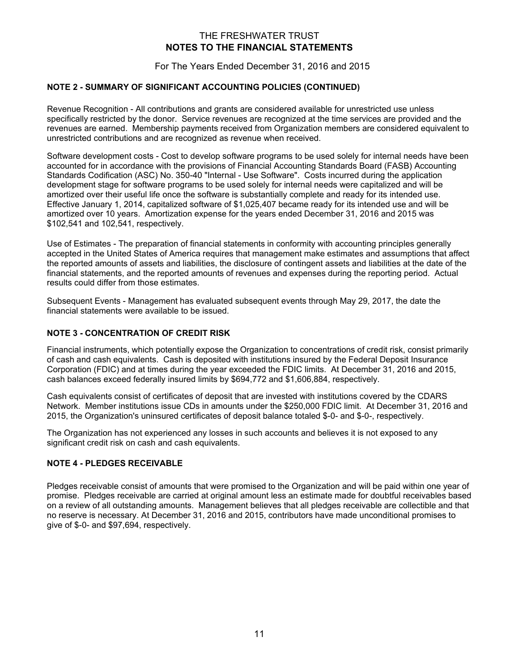For The Years Ended December 31, 2016 and 2015

## **NOTE 2 - SUMMARY OF SIGNIFICANT ACCOUNTING POLICIES (CONTINUED)**

Revenue Recognition - All contributions and grants are considered available for unrestricted use unless specifically restricted by the donor. Service revenues are recognized at the time services are provided and the revenues are earned. Membership payments received from Organization members are considered equivalent to unrestricted contributions and are recognized as revenue when received.

Software development costs - Cost to develop software programs to be used solely for internal needs have been accounted for in accordance with the provisions of Financial Accounting Standards Board (FASB) Accounting Standards Codification (ASC) No. 350-40 "Internal - Use Software". Costs incurred during the application development stage for software programs to be used solely for internal needs were capitalized and will be amortized over their useful life once the software is substantially complete and ready for its intended use. Effective January 1, 2014, capitalized software of \$1,025,407 became ready for its intended use and will be amortized over 10 years. Amortization expense for the years ended December 31, 2016 and 2015 was \$102,541 and 102,541, respectively.

Use of Estimates - The preparation of financial statements in conformity with accounting principles generally accepted in the United States of America requires that management make estimates and assumptions that affect the reported amounts of assets and liabilities, the disclosure of contingent assets and liabilities at the date of the financial statements, and the reported amounts of revenues and expenses during the reporting period. Actual results could differ from those estimates.

Subsequent Events - Management has evaluated subsequent events through May 29, 2017, the date the financial statements were available to be issued.

## **NOTE 3 - CONCENTRATION OF CREDIT RISK**

Financial instruments, which potentially expose the Organization to concentrations of credit risk, consist primarily of cash and cash equivalents. Cash is deposited with institutions insured by the Federal Deposit Insurance Corporation (FDIC) and at times during the year exceeded the FDIC limits. At December 31, 2016 and 2015, cash balances exceed federally insured limits by \$694,772 and \$1,606,884, respectively.

Cash equivalents consist of certificates of deposit that are invested with institutions covered by the CDARS Network. Member institutions issue CDs in amounts under the \$250,000 FDIC limit. At December 31, 2016 and 2015, the Organization's uninsured certificates of deposit balance totaled \$-0- and \$-0-, respectively.

The Organization has not experienced any losses in such accounts and believes it is not exposed to any significant credit risk on cash and cash equivalents.

## **NOTE 4 - PLEDGES RECEIVABLE**

Pledges receivable consist of amounts that were promised to the Organization and will be paid within one year of promise. Pledges receivable are carried at original amount less an estimate made for doubtful receivables based on a review of all outstanding amounts. Management believes that all pledges receivable are collectible and that no reserve is necessary. At December 31, 2016 and 2015, contributors have made unconditional promises to give of \$-0- and \$97,694, respectively.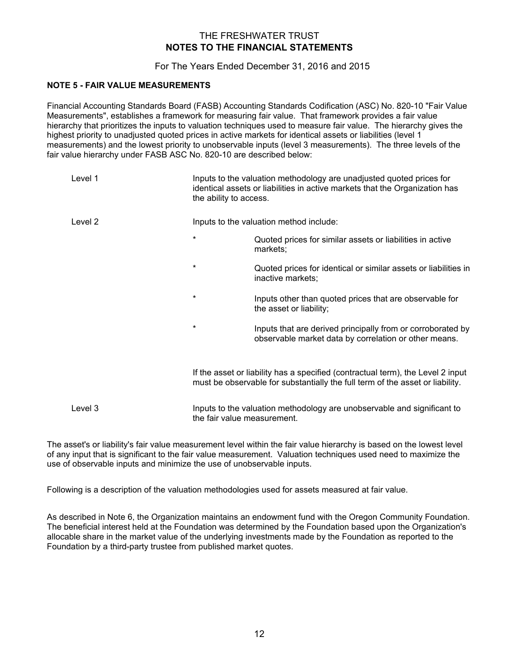For The Years Ended December 31, 2016 and 2015

#### **NOTE 5 - FAIR VALUE MEASUREMENTS**

Financial Accounting Standards Board (FASB) Accounting Standards Codification (ASC) No. 820-10 "Fair Value Measurements", establishes a framework for measuring fair value. That framework provides a fair value hierarchy that prioritizes the inputs to valuation techniques used to measure fair value. The hierarchy gives the highest priority to unadjusted quoted prices in active markets for identical assets or liabilities (level 1 measurements) and the lowest priority to unobservable inputs (level 3 measurements). The three levels of the fair value hierarchy under FASB ASC No. 820-10 are described below:

| Level 1 | Inputs to the valuation methodology are unadjusted quoted prices for<br>identical assets or liabilities in active markets that the Organization has<br>the ability to access. |                                                                                                                                                                  |  |  |  |  |
|---------|-------------------------------------------------------------------------------------------------------------------------------------------------------------------------------|------------------------------------------------------------------------------------------------------------------------------------------------------------------|--|--|--|--|
| Level 2 |                                                                                                                                                                               | Inputs to the valuation method include:                                                                                                                          |  |  |  |  |
|         | $\ast$                                                                                                                                                                        | Quoted prices for similar assets or liabilities in active<br>markets;                                                                                            |  |  |  |  |
|         | *                                                                                                                                                                             | Quoted prices for identical or similar assets or liabilities in<br>inactive markets;                                                                             |  |  |  |  |
|         | *                                                                                                                                                                             | Inputs other than quoted prices that are observable for<br>the asset or liability;                                                                               |  |  |  |  |
|         | *                                                                                                                                                                             | Inputs that are derived principally from or corroborated by<br>observable market data by correlation or other means.                                             |  |  |  |  |
|         |                                                                                                                                                                               | If the asset or liability has a specified (contractual term), the Level 2 input<br>must be observable for substantially the full term of the asset or liability. |  |  |  |  |
| Level 3 | the fair value measurement.                                                                                                                                                   | Inputs to the valuation methodology are unobservable and significant to                                                                                          |  |  |  |  |

The asset's or liability's fair value measurement level within the fair value hierarchy is based on the lowest level of any input that is significant to the fair value measurement. Valuation techniques used need to maximize the use of observable inputs and minimize the use of unobservable inputs.

Following is a description of the valuation methodologies used for assets measured at fair value.

As described in Note 6, the Organization maintains an endowment fund with the Oregon Community Foundation. The beneficial interest held at the Foundation was determined by the Foundation based upon the Organization's allocable share in the market value of the underlying investments made by the Foundation as reported to the Foundation by a third-party trustee from published market quotes.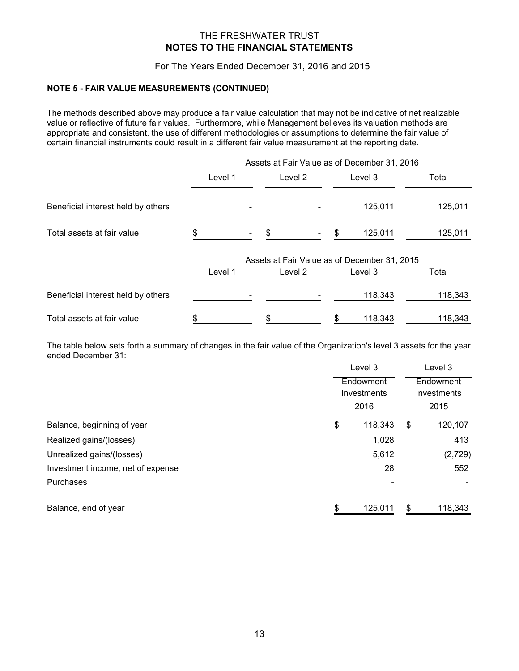For The Years Ended December 31, 2016 and 2015

## **NOTE 5 - FAIR VALUE MEASUREMENTS (CONTINUED)**

The methods described above may produce a fair value calculation that may not be indicative of net realizable value or reflective of future fair values. Furthermore, while Management believes its valuation methods are appropriate and consistent, the use of different methodologies or assumptions to determine the fair value of certain financial instruments could result in a different fair value measurement at the reporting date.

|                                    |         |         |    | Assets at Fair Value as of December 31, 2016 |         |
|------------------------------------|---------|---------|----|----------------------------------------------|---------|
|                                    | Level 1 | Level 2 |    | Level 3                                      | Total   |
| Beneficial interest held by others |         |         |    | 125,011                                      | 125,011 |
| Total assets at fair value         |         | \$      | \$ | 125,011                                      | 125,011 |
|                                    |         |         |    | Assets at Fair Value as of December 31, 2015 |         |
|                                    | Level 1 | Level 2 |    | Level 3                                      | Total   |
| Beneficial interest held by others |         |         |    | 118,343                                      | 118,343 |
| Total assets at fair value         | \$      | \$      | \$ | 118,343                                      | 118,343 |

The table below sets forth a summary of changes in the fair value of the Organization's level 3 assets for the year ended December 31:

|                                   | Level 3                          |    | Level 3                          |
|-----------------------------------|----------------------------------|----|----------------------------------|
|                                   | Endowment<br>Investments<br>2016 |    | Endowment<br>Investments<br>2015 |
| Balance, beginning of year        | \$<br>118,343                    | \$ | 120,107                          |
| Realized gains/(losses)           | 1,028                            |    | 413                              |
| Unrealized gains/(losses)         | 5,612                            |    | (2,729)                          |
| Investment income, net of expense | 28                               |    | 552                              |
| Purchases                         |                                  |    |                                  |
| Balance, end of year              | \$<br>125,011                    | \$ | 118,343                          |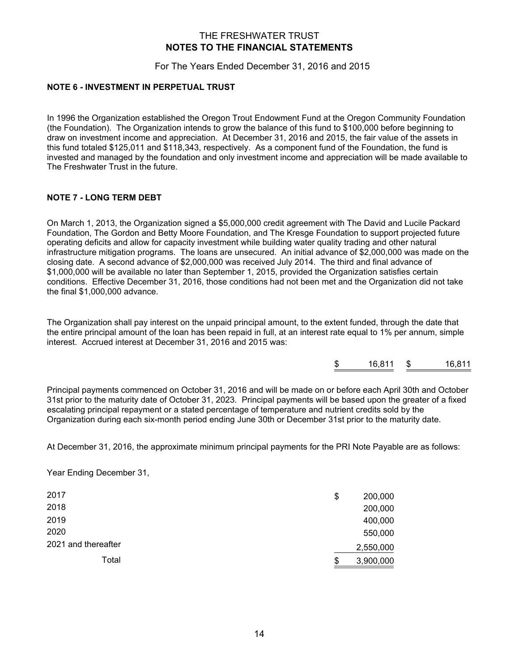For The Years Ended December 31, 2016 and 2015

#### **NOTE 6 - INVESTMENT IN PERPETUAL TRUST**

In 1996 the Organization established the Oregon Trout Endowment Fund at the Oregon Community Foundation (the Foundation). The Organization intends to grow the balance of this fund to \$100,000 before beginning to draw on investment income and appreciation. At December 31, 2016 and 2015, the fair value of the assets in this fund totaled \$125,011 and \$118,343, respectively. As a component fund of the Foundation, the fund is invested and managed by the foundation and only investment income and appreciation will be made available to The Freshwater Trust in the future.

## **NOTE 7 - LONG TERM DEBT**

On March 1, 2013, the Organization signed a \$5,000,000 credit agreement with The David and Lucile Packard Foundation, The Gordon and Betty Moore Foundation, and The Kresge Foundation to support projected future operating deficits and allow for capacity investment while building water quality trading and other natural infrastructure mitigation programs. The loans are unsecured. An initial advance of \$2,000,000 was made on the closing date. A second advance of \$2,000,000 was received July 2014. The third and final advance of \$1,000,000 will be available no later than September 1, 2015, provided the Organization satisfies certain conditions. Effective December 31, 2016, those conditions had not been met and the Organization did not take the final \$1,000,000 advance.

The Organization shall pay interest on the unpaid principal amount, to the extent funded, through the date that the entire principal amount of the loan has been repaid in full, at an interest rate equal to 1% per annum, simple interest. Accrued interest at December 31, 2016 and 2015 was:

| 16,811 |
|--------|
|        |

Principal payments commenced on October 31, 2016 and will be made on or before each April 30th and October 31st prior to the maturity date of October 31, 2023. Principal payments will be based upon the greater of a fixed escalating principal repayment or a stated percentage of temperature and nutrient credits sold by the Organization during each six-month period ending June 30th or December 31st prior to the maturity date.

At December 31, 2016, the approximate minimum principal payments for the PRI Note Payable are as follows:

Year Ending December 31,

| 2017                | \$<br>200,000   |
|---------------------|-----------------|
| 2018                | 200,000         |
| 2019                | 400,000         |
| 2020                | 550,000         |
| 2021 and thereafter | 2,550,000       |
| Total               | 3,900,000<br>\$ |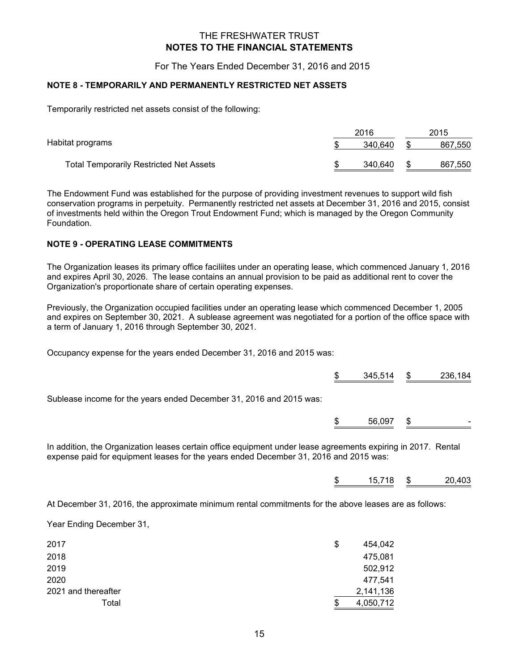For The Years Ended December 31, 2016 and 2015

## **NOTE 8 - TEMPORARILY AND PERMANENTLY RESTRICTED NET ASSETS**

Temporarily restricted net assets consist of the following:

|                                                | 2016    |  |         |
|------------------------------------------------|---------|--|---------|
| Habitat programs                               | 340.640 |  | 867,550 |
| <b>Total Temporarily Restricted Net Assets</b> | 340.640 |  | 867,550 |

The Endowment Fund was established for the purpose of providing investment revenues to support wild fish conservation programs in perpetuity. Permanently restricted net assets at December 31, 2016 and 2015, consist of investments held within the Oregon Trout Endowment Fund; which is managed by the Oregon Community Foundation.

## **NOTE 9 - OPERATING LEASE COMMITMENTS**

The Organization leases its primary office faciliites under an operating lease, which commenced January 1, 2016 and expires April 30, 2026. The lease contains an annual provision to be paid as additional rent to cover the Organization's proportionate share of certain operating expenses.

Previously, the Organization occupied facilities under an operating lease which commenced December 1, 2005 and expires on September 30, 2021. A sublease agreement was negotiated for a portion of the office space with a term of January 1, 2016 through September 30, 2021.

Occupancy expense for the years ended December 31, 2016 and 2015 was:

|                                                                     | S | 345,514 |   | 236,184 |
|---------------------------------------------------------------------|---|---------|---|---------|
| Sublease income for the years ended December 31, 2016 and 2015 was: |   |         |   |         |
|                                                                     | S | 56.097  | S | -       |

In addition, the Organization leases certain office equipment under lease agreements expiring in 2017. Rental expense paid for equipment leases for the years ended December 31, 2016 and 2015 was:

|  | $15,718$ \$ | 20,403 |
|--|-------------|--------|
|--|-------------|--------|

At December 31, 2016, the approximate minimum rental commitments for the above leases are as follows:

Year Ending December 31,

| 2017                | 454,042<br>\$  |
|---------------------|----------------|
| 2018                | 475,081        |
| 2019                | 502,912        |
| 2020                | 477.541        |
| 2021 and thereafter | 2,141,136      |
| Total               | 4,050,712<br>S |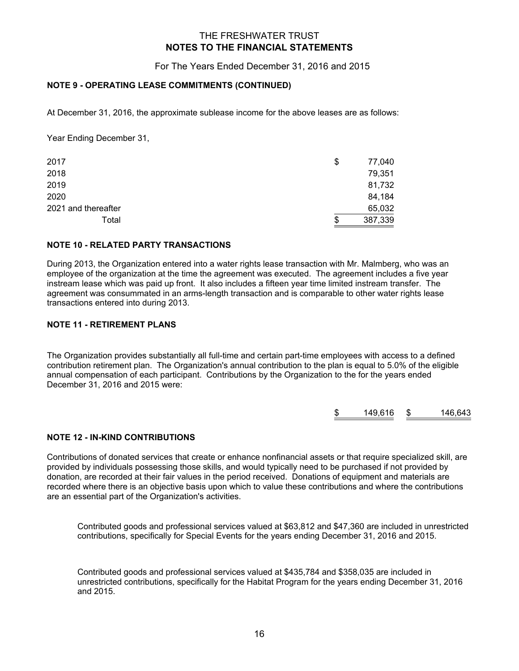For The Years Ended December 31, 2016 and 2015

## **NOTE 9 - OPERATING LEASE COMMITMENTS (CONTINUED)**

At December 31, 2016, the approximate sublease income for the above leases are as follows:

Year Ending December 31,

| 2017                | \$<br>77,040  |
|---------------------|---------------|
| 2018                | 79,351        |
| 2019                | 81,732        |
| 2020                | 84,184        |
| 2021 and thereafter | 65,032        |
| Total               | \$<br>387,339 |

## **NOTE 10 - RELATED PARTY TRANSACTIONS**

During 2013, the Organization entered into a water rights lease transaction with Mr. Malmberg, who was an employee of the organization at the time the agreement was executed. The agreement includes a five year instream lease which was paid up front. It also includes a fifteen year time limited instream transfer. The agreement was consummated in an arms-length transaction and is comparable to other water rights lease transactions entered into during 2013.

#### **NOTE 11 - RETIREMENT PLANS**

The Organization provides substantially all full-time and certain part-time employees with access to a defined contribution retirement plan. The Organization's annual contribution to the plan is equal to 5.0% of the eligible annual compensation of each participant. Contributions by the Organization to the for the years ended December 31, 2016 and 2015 were:

\$ 149,616 \$ 146,643

#### **NOTE 12 - IN-KIND CONTRIBUTIONS**

Contributions of donated services that create or enhance nonfinancial assets or that require specialized skill, are provided by individuals possessing those skills, and would typically need to be purchased if not provided by donation, are recorded at their fair values in the period received. Donations of equipment and materials are recorded where there is an objective basis upon which to value these contributions and where the contributions are an essential part of the Organization's activities.

Contributed goods and professional services valued at \$63,812 and \$47,360 are included in unrestricted contributions, specifically for Special Events for the years ending December 31, 2016 and 2015.

Contributed goods and professional services valued at \$435,784 and \$358,035 are included in unrestricted contributions, specifically for the Habitat Program for the years ending December 31, 2016 and 2015.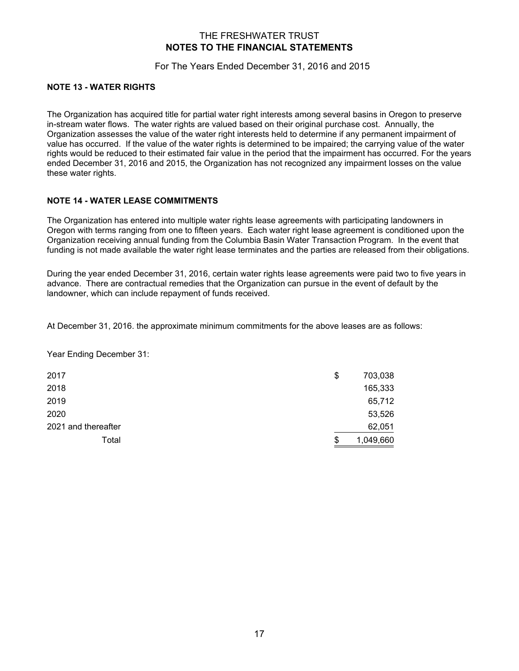For The Years Ended December 31, 2016 and 2015

## **NOTE 13 - WATER RIGHTS**

The Organization has acquired title for partial water right interests among several basins in Oregon to preserve in-stream water flows. The water rights are valued based on their original purchase cost. Annually, the Organization assesses the value of the water right interests held to determine if any permanent impairment of value has occurred. If the value of the water rights is determined to be impaired; the carrying value of the water rights would be reduced to their estimated fair value in the period that the impairment has occurred. For the years ended December 31, 2016 and 2015, the Organization has not recognized any impairment losses on the value these water rights.

## **NOTE 14 - WATER LEASE COMMITMENTS**

The Organization has entered into multiple water rights lease agreements with participating landowners in Oregon with terms ranging from one to fifteen years. Each water right lease agreement is conditioned upon the Organization receiving annual funding from the Columbia Basin Water Transaction Program. In the event that funding is not made available the water right lease terminates and the parties are released from their obligations.

During the year ended December 31, 2016, certain water rights lease agreements were paid two to five years in advance. There are contractual remedies that the Organization can pursue in the event of default by the landowner, which can include repayment of funds received.

At December 31, 2016. the approximate minimum commitments for the above leases are as follows:

Year Ending December 31:

| 2017                | \$ | 703,038   |
|---------------------|----|-----------|
| 2018                |    | 165,333   |
| 2019                |    | 65,712    |
| 2020                |    | 53,526    |
| 2021 and thereafter |    | 62,051    |
| Total               | S  | 1,049,660 |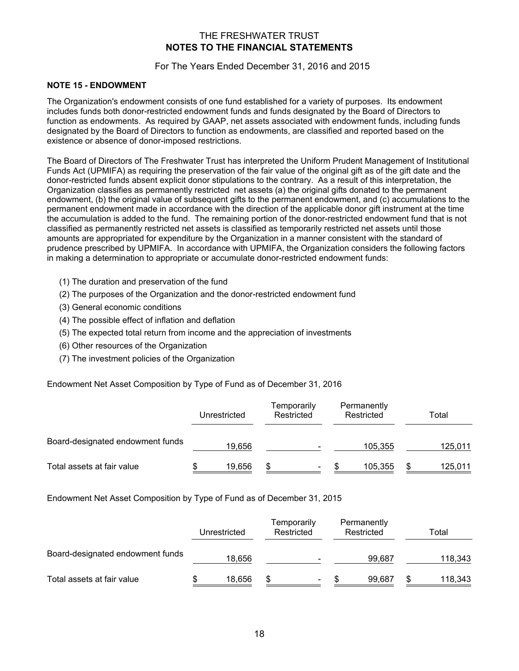## For The Years Ended December 31, 2016 and 2015

#### **NOTE 15 - ENDOWMENT**

The Organization's endowment consists of one fund established for a variety of purposes. Its endowment includes funds both donor-restricted endowment funds and funds designated by the Board of Directors to function as endowments. As required by GAAP, net assets associated with endowment funds, including funds designated by the Board of Directors to function as endowments, are classified and reported based on the existence or absence of donor-imposed restrictions.

The Board of Directors of The Freshwater Trust has interpreted the Uniform Prudent Management of Institutional Funds Act (UPMIFA) as requiring the preservation of the fair value of the original gift as of the gift date and the donor-restricted funds absent explicit donor stipulations to the contrary. As a result of this interpretation, the Organization classifies as permanently restricted net assets (a) the original gifts donated to the permanent endowment, (b) the original value of subsequent gifts to the permanent endowment, and (c) accumulations to the permanent endowment made in accordance with the direction of the applicable donor gift instrument at the time the accumulation is added to the fund. The remaining portion of the donor-restricted endowment fund that is not classified as permanently restricted net assets is classified as temporarily restricted net assets until those amounts are appropriated for expenditure by the Organization in a manner consistent with the standard of prudence prescribed by UPMIFA. In accordance with UPMIFA, the Organization considers the following factors in making a determination to appropriate or accumulate donor-restricted endowment funds:

- (1) The duration and preservation of the fund
- (2) The purposes of the Organization and the donor-restricted endowment fund
- (3) General economic conditions
- (4) The possible effect of inflation and deflation
- (5) The expected total return from income and the appreciation of investments
- (6) Other resources of the Organization
- (7) The investment policies of the Organization

Endowment Net Asset Composition by Type of Fund as of December 31, 2016

|                                  | Unrestricted | Temporarily<br>Restricted | Permanently<br>Restricted | Total   |
|----------------------------------|--------------|---------------------------|---------------------------|---------|
| Board-designated endowment funds | 19.656       |                           | 105,355                   | 125,011 |
| Total assets at fair value       | 19.656       | ۰                         | 105,355                   | 125,011 |

Endowment Net Asset Composition by Type of Fund as of December 31, 2015

|                                  | Unrestricted |     | Temporarily<br>Restricted |   | Permanently<br>Restricted |     | Total   |
|----------------------------------|--------------|-----|---------------------------|---|---------------------------|-----|---------|
| Board-designated endowment funds | 18,656       |     |                           |   | 99.687                    |     | 118,343 |
| Total assets at fair value       | 18,656       | \$. |                           | S | 99.687                    | \$. | 118,343 |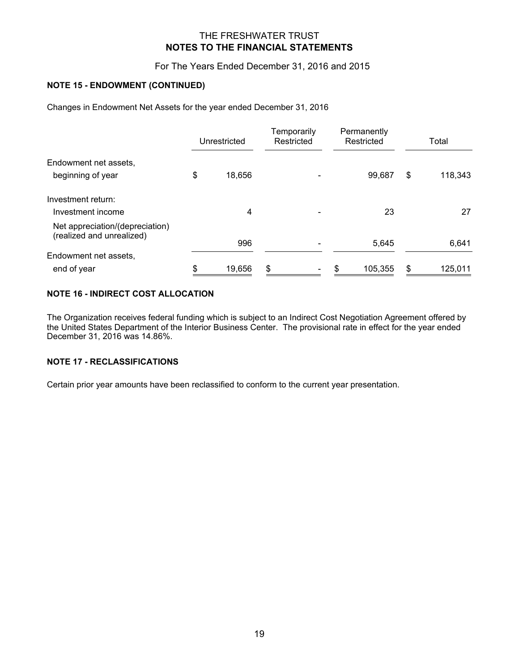For The Years Ended December 31, 2016 and 2015

## **NOTE 15 - ENDOWMENT (CONTINUED)**

Changes in Endowment Net Assets for the year ended December 31, 2016

|                                                              | Unrestricted | Temporarily<br>Restricted |    | Permanently<br>Restricted | Total         |
|--------------------------------------------------------------|--------------|---------------------------|----|---------------------------|---------------|
| Endowment net assets,                                        |              |                           |    |                           |               |
| beginning of year                                            | \$<br>18,656 |                           |    | 99,687                    | \$<br>118,343 |
| Investment return:                                           |              |                           |    |                           |               |
| Investment income                                            | 4            |                           |    | 23                        | 27            |
| Net appreciation/(depreciation)<br>(realized and unrealized) |              |                           |    |                           |               |
|                                                              | 996          |                           |    | 5,645                     | 6,641         |
| Endowment net assets,                                        |              |                           |    |                           |               |
| end of year                                                  | \$<br>19,656 | \$                        | \$ | 105,355                   | \$<br>125,011 |

## **NOTE 16 - INDIRECT COST ALLOCATION**

The Organization receives federal funding which is subject to an Indirect Cost Negotiation Agreement offered by the United States Department of the Interior Business Center. The provisional rate in effect for the year ended December 31, 2016 was 14.86%.

## **NOTE 17 - RECLASSIFICATIONS**

Certain prior year amounts have been reclassified to conform to the current year presentation.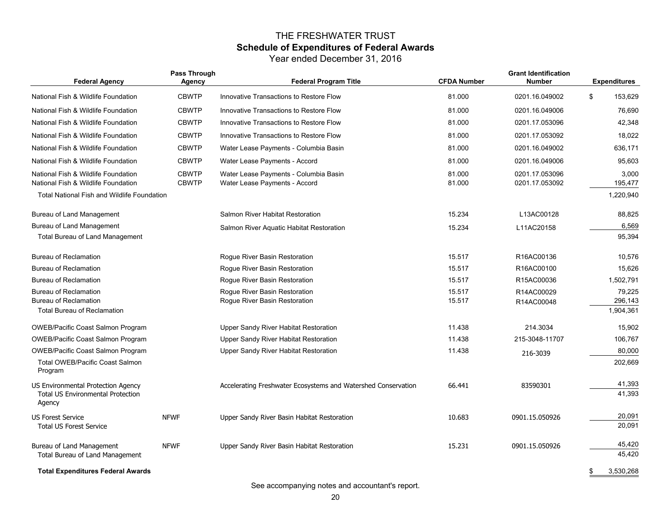# THE FRESHWATER TRUST**Schedule of Expenditures of Federal Awards** Year ended December 31, 2016

| <b>Federal Agency</b>                                                                    | Pass Through<br>Agency       | <b>Federal Program Title</b>                                           | <b>CFDA Number</b> | <b>Grant Identification</b><br><b>Number</b> | <b>Expenditures</b> |
|------------------------------------------------------------------------------------------|------------------------------|------------------------------------------------------------------------|--------------------|----------------------------------------------|---------------------|
| National Fish & Wildlife Foundation                                                      | <b>CBWTP</b>                 | Innovative Transactions to Restore Flow                                | 81.000             | 0201.16.049002                               | \$<br>153,629       |
| National Fish & Wildlife Foundation                                                      | <b>CBWTP</b>                 | Innovative Transactions to Restore Flow                                | 81.000             | 0201.16.049006                               | 76,690              |
| National Fish & Wildlife Foundation                                                      | <b>CBWTP</b>                 | Innovative Transactions to Restore Flow                                | 81.000             | 0201.17.053096                               | 42,348              |
| National Fish & Wildlife Foundation                                                      | <b>CBWTP</b>                 | Innovative Transactions to Restore Flow                                | 81.000             | 0201.17.053092                               | 18,022              |
| National Fish & Wildlife Foundation                                                      | <b>CBWTP</b>                 | Water Lease Payments - Columbia Basin                                  | 81.000             | 0201.16.049002                               | 636,171             |
| National Fish & Wildlife Foundation                                                      | <b>CBWTP</b>                 | Water Lease Payments - Accord                                          | 81.000             | 0201.16.049006                               | 95,603              |
| National Fish & Wildlife Foundation<br>National Fish & Wildlife Foundation               | <b>CBWTP</b><br><b>CBWTP</b> | Water Lease Payments - Columbia Basin<br>Water Lease Payments - Accord | 81.000<br>81.000   | 0201.17.053096<br>0201.17.053092             | 3,000<br>195,477    |
| <b>Total National Fish and Wildlife Foundation</b>                                       |                              |                                                                        |                    |                                              | 1,220,940           |
| Bureau of Land Management                                                                |                              | Salmon River Habitat Restoration                                       | 15.234             | L13AC00128                                   | 88,825              |
| <b>Bureau of Land Management</b>                                                         |                              | Salmon River Aquatic Habitat Restoration                               | 15.234             | L11AC20158                                   | 6,569               |
| <b>Total Bureau of Land Management</b>                                                   |                              |                                                                        |                    |                                              | 95,394              |
| <b>Bureau of Reclamation</b>                                                             |                              | Rogue River Basin Restoration                                          | 15.517             | R16AC00136                                   | 10,576              |
| <b>Bureau of Reclamation</b>                                                             |                              | Rogue River Basin Restoration                                          | 15.517             | R16AC00100                                   | 15,626              |
| <b>Bureau of Reclamation</b>                                                             |                              | Rogue River Basin Restoration                                          | 15.517             | R15AC00036                                   | 1,502,791           |
| <b>Bureau of Reclamation</b>                                                             |                              | Rogue River Basin Restoration                                          | 15.517             | R14AC00029                                   | 79,225              |
| <b>Bureau of Reclamation</b>                                                             |                              | Rogue River Basin Restoration                                          | 15.517             | R14AC00048                                   | 296,143             |
| <b>Total Bureau of Reclamation</b>                                                       |                              |                                                                        |                    |                                              | 1,904,361           |
| <b>OWEB/Pacific Coast Salmon Program</b>                                                 |                              | Upper Sandy River Habitat Restoration                                  | 11.438             | 214.3034                                     | 15,902              |
| <b>OWEB/Pacific Coast Salmon Program</b>                                                 |                              | Upper Sandy River Habitat Restoration                                  | 11.438             | 215-3048-11707                               | 106,767             |
| <b>OWEB/Pacific Coast Salmon Program</b>                                                 |                              | Upper Sandy River Habitat Restoration                                  | 11.438             | 216-3039                                     | 80,000              |
| <b>Total OWEB/Pacific Coast Salmon</b><br>Program                                        |                              |                                                                        |                    |                                              | 202,669             |
| US Environmental Protection Agency<br><b>Total US Environmental Protection</b><br>Agency |                              | Accelerating Freshwater Ecosystems and Watershed Conservation          | 66.441             | 83590301                                     | 41,393<br>41,393    |
| <b>US Forest Service</b><br><b>Total US Forest Service</b>                               | <b>NFWF</b>                  | Upper Sandy River Basin Habitat Restoration                            | 10.683             | 0901.15.050926                               | 20,091<br>20.091    |
| Bureau of Land Management                                                                | <b>NFWF</b>                  | Upper Sandy River Basin Habitat Restoration                            | 15.231             | 0901.15.050926                               | 45,420              |
| Total Bureau of Land Management                                                          |                              |                                                                        |                    |                                              | 45,420              |
| <b>Total Expenditures Federal Awards</b>                                                 |                              |                                                                        |                    |                                              | 3,530,268<br>\$     |

See accompanying notes and accountant's report.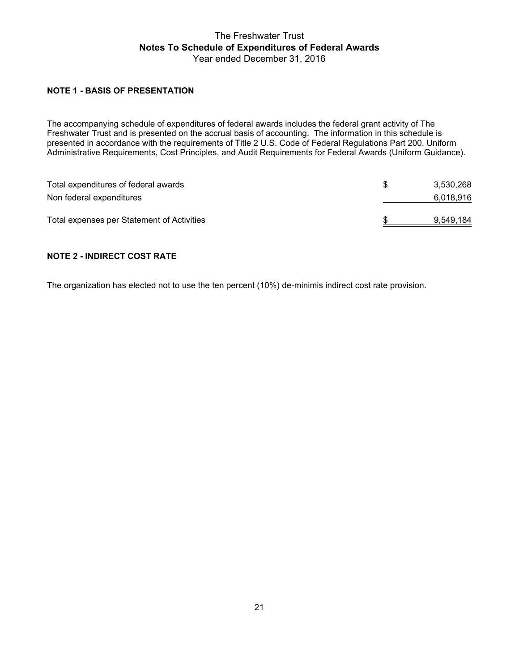# The Freshwater Trust **Notes To Schedule of Expenditures of Federal Awards** Year ended December 31, 2016

## **NOTE 1 - BASIS OF PRESENTATION**

The accompanying schedule of expenditures of federal awards includes the federal grant activity of The Freshwater Trust and is presented on the accrual basis of accounting. The information in this schedule is presented in accordance with the requirements of Title 2 U.S. Code of Federal Regulations Part 200, Uniform Administrative Requirements, Cost Principles, and Audit Requirements for Federal Awards (Uniform Guidance).

| Total expenditures of federal awards       | 3,530,268 |
|--------------------------------------------|-----------|
| Non federal expenditures                   | 6,018,916 |
|                                            |           |
| Total expenses per Statement of Activities | 9,549,184 |

## **NOTE 2 - INDIRECT COST RATE**

The organization has elected not to use the ten percent (10%) de-minimis indirect cost rate provision.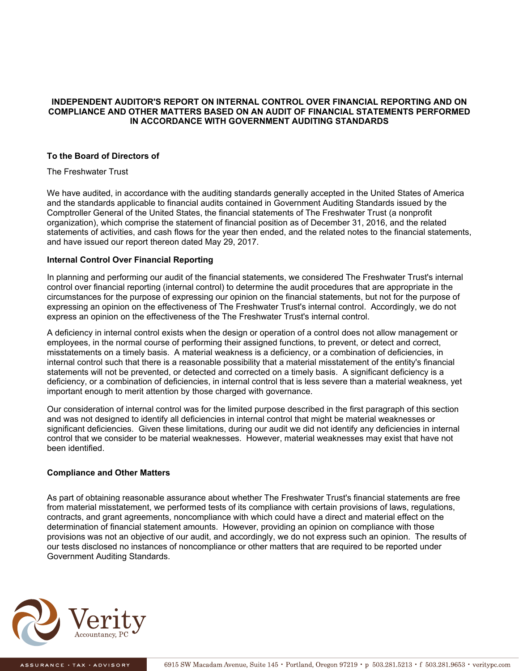#### **INDEPENDENT AUDITOR'S REPORT ON INTERNAL CONTROL OVER FINANCIAL REPORTING AND ON COMPLIANCE AND OTHER MATTERS BASED ON AN AUDIT OF FINANCIAL STATEMENTS PERFORMED IN ACCORDANCE WITH GOVERNMENT AUDITING STANDARDS**

#### **To the Board of Directors of**

#### The Freshwater Trust

We have audited, in accordance with the auditing standards generally accepted in the United States of America and the standards applicable to financial audits contained in Government Auditing Standards issued by the Comptroller General of the United States, the financial statements of The Freshwater Trust (a nonprofit organization), which comprise the statement of financial position as of December 31, 2016, and the related statements of activities, and cash flows for the year then ended, and the related notes to the financial statements, and have issued our report thereon dated May 29, 2017.

#### **Internal Control Over Financial Reporting**

In planning and performing our audit of the financial statements, we considered The Freshwater Trust's internal control over financial reporting (internal control) to determine the audit procedures that are appropriate in the circumstances for the purpose of expressing our opinion on the financial statements, but not for the purpose of expressing an opinion on the effectiveness of The Freshwater Trust's internal control. Accordingly, we do not express an opinion on the effectiveness of the The Freshwater Trust's internal control.

A deficiency in internal control exists when the design or operation of a control does not allow management or employees, in the normal course of performing their assigned functions, to prevent, or detect and correct, misstatements on a timely basis. A material weakness is a deficiency, or a combination of deficiencies, in internal control such that there is a reasonable possibility that a material misstatement of the entity's financial statements will not be prevented, or detected and corrected on a timely basis. A significant deficiency is a deficiency, or a combination of deficiencies, in internal control that is less severe than a material weakness, yet important enough to merit attention by those charged with governance.

Our consideration of internal control was for the limited purpose described in the first paragraph of this section and was not designed to identify all deficiencies in internal control that might be material weaknesses or significant deficiencies. Given these limitations, during our audit we did not identify any deficiencies in internal control that we consider to be material weaknesses. However, material weaknesses may exist that have not been identified.

## **Compliance and Other Matters**

As part of obtaining reasonable assurance about whether The Freshwater Trust's financial statements are free from material misstatement, we performed tests of its compliance with certain provisions of laws, regulations, contracts, and grant agreements, noncompliance with which could have a direct and material effect on the determination of financial statement amounts. However, providing an opinion on compliance with those provisions was not an objective of our audit, and accordingly, we do not express such an opinion. The results of our tests disclosed no instances of noncompliance or other matters that are required to be reported under Government Auditing Standards.

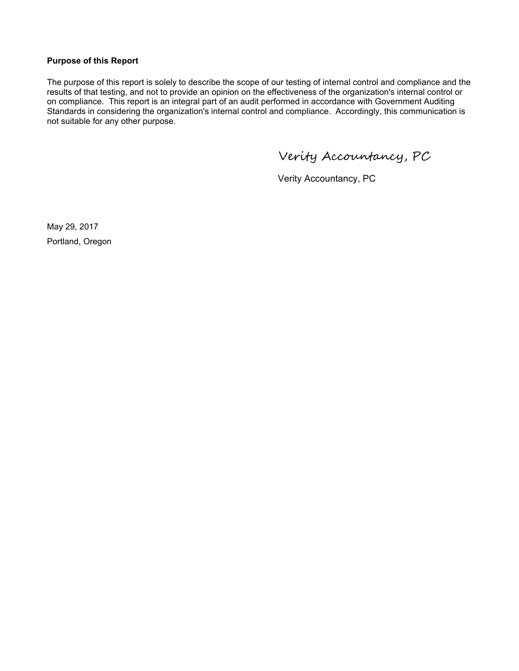#### **Purpose of this Report**

The purpose of this report is solely to describe the scope of our testing of internal control and compliance and the results of that testing, and not to provide an opinion on the effectiveness of the organization's internal control or on compliance. This report is an integral part of an audit performed in accordance with Government Auditing Standards in considering the organization's internal control and compliance. Accordingly, this communication is not suitable for any other purpose.

Verity Accountancy, PC

Verity Accountancy, PC

May 29, 2017 Portland, Oregon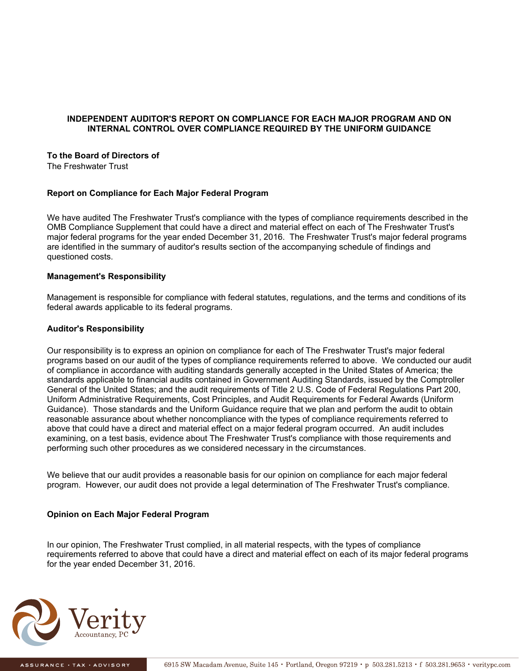#### **INDEPENDENT AUDITOR'S REPORT ON COMPLIANCE FOR EACH MAJOR PROGRAM AND ON INTERNAL CONTROL OVER COMPLIANCE REQUIRED BY THE UNIFORM GUIDANCE**

#### **To the Board of Directors of**

The Freshwater Trust

#### **Report on Compliance for Each Major Federal Program**

We have audited The Freshwater Trust's compliance with the types of compliance requirements described in the OMB Compliance Supplement that could have a direct and material effect on each of The Freshwater Trust's major federal programs for the year ended December 31, 2016. The Freshwater Trust's major federal programs are identified in the summary of auditor's results section of the accompanying schedule of findings and questioned costs.

#### **Management's Responsibility**

Management is responsible for compliance with federal statutes, regulations, and the terms and conditions of its federal awards applicable to its federal programs.

#### **Auditor's Responsibility**

Our responsibility is to express an opinion on compliance for each of The Freshwater Trust's major federal programs based on our audit of the types of compliance requirements referred to above. We conducted our audit of compliance in accordance with auditing standards generally accepted in the United States of America; the standards applicable to financial audits contained in Government Auditing Standards, issued by the Comptroller General of the United States; and the audit requirements of Title 2 U.S. Code of Federal Regulations Part 200, Uniform Administrative Requirements, Cost Principles, and Audit Requirements for Federal Awards (Uniform Guidance). Those standards and the Uniform Guidance require that we plan and perform the audit to obtain reasonable assurance about whether noncompliance with the types of compliance requirements referred to above that could have a direct and material effect on a major federal program occurred. An audit includes examining, on a test basis, evidence about The Freshwater Trust's compliance with those requirements and performing such other procedures as we considered necessary in the circumstances.

We believe that our audit provides a reasonable basis for our opinion on compliance for each major federal program. However, our audit does not provide a legal determination of The Freshwater Trust's compliance.

#### **Opinion on Each Major Federal Program**

In our opinion, The Freshwater Trust complied, in all material respects, with the types of compliance requirements referred to above that could have a direct and material effect on each of its major federal programs for the year ended December 31, 2016.

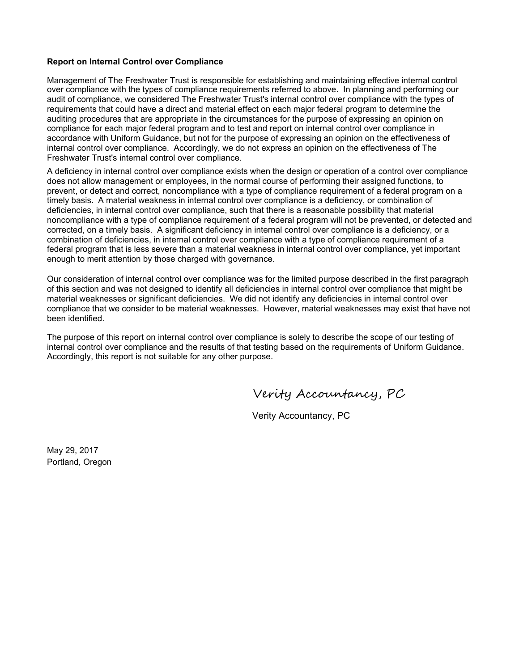#### **Report on Internal Control over Compliance**

Management of The Freshwater Trust is responsible for establishing and maintaining effective internal control over compliance with the types of compliance requirements referred to above. In planning and performing our audit of compliance, we considered The Freshwater Trust's internal control over compliance with the types of requirements that could have a direct and material effect on each major federal program to determine the auditing procedures that are appropriate in the circumstances for the purpose of expressing an opinion on compliance for each major federal program and to test and report on internal control over compliance in accordance with Uniform Guidance, but not for the purpose of expressing an opinion on the effectiveness of internal control over compliance. Accordingly, we do not express an opinion on the effectiveness of The Freshwater Trust's internal control over compliance.

A deficiency in internal control over compliance exists when the design or operation of a control over compliance does not allow management or employees, in the normal course of performing their assigned functions, to prevent, or detect and correct, noncompliance with a type of compliance requirement of a federal program on a timely basis. A material weakness in internal control over compliance is a deficiency, or combination of deficiencies, in internal control over compliance, such that there is a reasonable possibility that material noncompliance with a type of compliance requirement of a federal program will not be prevented, or detected and corrected, on a timely basis. A significant deficiency in internal control over compliance is a deficiency, or a combination of deficiencies, in internal control over compliance with a type of compliance requirement of a federal program that is less severe than a material weakness in internal control over compliance, yet important enough to merit attention by those charged with governance.

Our consideration of internal control over compliance was for the limited purpose described in the first paragraph of this section and was not designed to identify all deficiencies in internal control over compliance that might be material weaknesses or significant deficiencies. We did not identify any deficiencies in internal control over compliance that we consider to be material weaknesses. However, material weaknesses may exist that have not been identified.

The purpose of this report on internal control over compliance is solely to describe the scope of our testing of internal control over compliance and the results of that testing based on the requirements of Uniform Guidance. Accordingly, this report is not suitable for any other purpose.

Verity Accountancy, PC

Verity Accountancy, PC

May 29, 2017 Portland, Oregon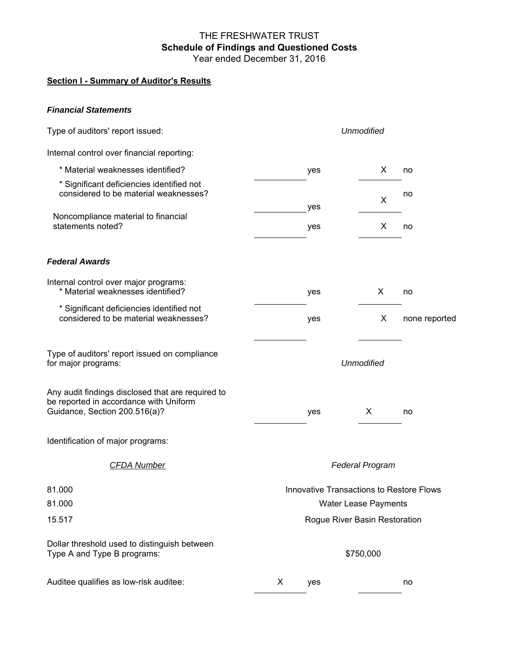# THE FRESHWATER TRUST **Schedule of Findings and Questioned Costs** Year ended December 31, 2016

# **Section I - Summary of Auditor's Results**

#### *Financial Statements*

| Type of auditors' report issued:                                                                                             | <b>Unmodified</b>                               |   |               |
|------------------------------------------------------------------------------------------------------------------------------|-------------------------------------------------|---|---------------|
| Internal control over financial reporting:                                                                                   |                                                 |   |               |
| * Material weaknesses identified?                                                                                            | yes                                             | X | no            |
| * Significant deficiencies identified not<br>considered to be material weaknesses?                                           |                                                 | X | no            |
| Noncompliance material to financial<br>statements noted?                                                                     | yes<br>yes                                      | X | no            |
| <b>Federal Awards</b>                                                                                                        |                                                 |   |               |
| Internal control over major programs:<br>* Material weaknesses identified?                                                   | yes                                             | X | no            |
| * Significant deficiencies identified not<br>considered to be material weaknesses?                                           | yes                                             | X | none reported |
| Type of auditors' report issued on compliance<br>for major programs:                                                         | <b>Unmodified</b>                               |   |               |
| Any audit findings disclosed that are required to<br>be reported in accordance with Uniform<br>Guidance, Section 200.516(a)? | yes                                             | X | no            |
| Identification of major programs:                                                                                            |                                                 |   |               |
| <b>CFDA Number</b>                                                                                                           | <b>Federal Program</b>                          |   |               |
| 81.000                                                                                                                       | <b>Innovative Transactions to Restore Flows</b> |   |               |
| 81.000                                                                                                                       | <b>Water Lease Payments</b>                     |   |               |
| 15.517                                                                                                                       | Rogue River Basin Restoration                   |   |               |
| Dollar threshold used to distinguish between<br>Type A and Type B programs:                                                  | \$750,000                                       |   |               |
| Auditee qualifies as low-risk auditee:                                                                                       | X<br>yes                                        |   | no            |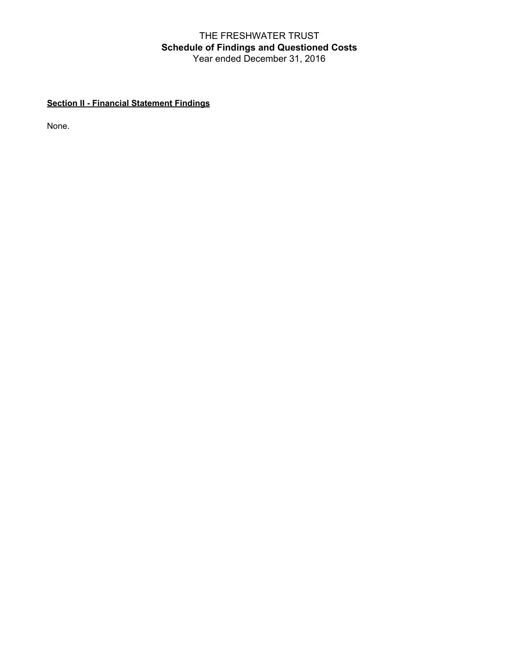# THE FRESHWATER TRUST **Schedule of Findings and Questioned Costs** Year ended December 31, 2016

# **Section II - Financial Statement Findings**

None.